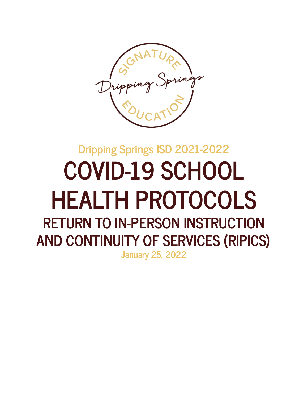

# **Dripping Springs ISD 2021-2022 COVID-19 SCHOOL HEALTH PROTOCOLS RETURN TO IN-PERSON INSTRUCTION AND CONTINUITY OF SERVICES (RIPICS) January 25, 2022**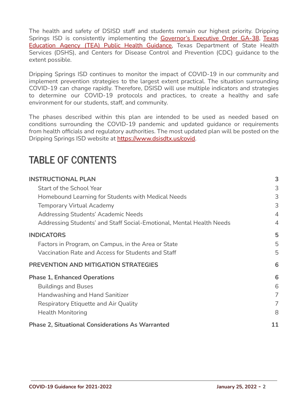The health and safety of DSISD staff and students remain our highest priority. Dripping Springs ISD is consistently implementing the [Governor's](https://gov.texas.gov/uploads/files/press/EO-GA-38_continued_response_to_the_COVID-19_disaster_IMAGE_07-29-2021.pdf) Executive Order GA-38, [Texas](https://tea.texas.gov/sites/default/files/covid/SY-20-21-Public-Health-Guidance.pdf) [Education](https://tea.texas.gov/sites/default/files/covid/SY-20-21-Public-Health-Guidance.pdf) Agency (TEA) Public Health Guidance, Texas Department of State Health Services (DSHS), and Centers for Disease Control and Prevention (CDC) guidance to the extent possible.

Dripping Springs ISD continues to monitor the impact of COVID-19 in our community and implement prevention strategies to the largest extent practical. The situation surrounding COVID-19 can change rapidly. Therefore, DSISD will use multiple indicators and strategies to determine our COVID-19 protocols and practices, to create a healthy and safe environment for our students, staff, and community.

The phases described within this plan are intended to be used as needed based on conditions surrounding the COVID-19 pandemic and updated guidance or requirements from health officials and regulatory authorities. The most updated plan will be posted on the Dripping Springs ISD website at [https://www.dsisdtx.us/covid.](https://www.dsisdtx.us/covid)

# **TABLE OF CONTENTS**

| <b>INSTRUCTIONAL PLAN</b>                                            | 3              |
|----------------------------------------------------------------------|----------------|
| <b>Start of the School Year</b>                                      | 3              |
| Homebound Learning for Students with Medical Needs                   | 3              |
| <b>Temporary Virtual Academy</b>                                     | 3              |
| <b>Addressing Students' Academic Needs</b>                           | $\overline{4}$ |
| Addressing Students' and Staff Social-Emotional, Mental Health Needs | $\overline{4}$ |
| <b>INDICATORS</b>                                                    | 5              |
| Factors in Program, on Campus, in the Area or State                  | 5              |
| Vaccination Rate and Access for Students and Staff                   | 5              |
| PREVENTION AND MITIGATION STRATEGIES                                 | 6              |
| <b>Phase 1, Enhanced Operations</b>                                  | 6              |
| <b>Buildings and Buses</b>                                           | 6              |
| Handwashing and Hand Sanitizer                                       | $\overline{7}$ |
| Respiratory Etiquette and Air Quality                                | 7              |
| <b>Health Monitoring</b>                                             | 8              |
| <b>Phase 2, Situational Considerations As Warranted</b>              | 11             |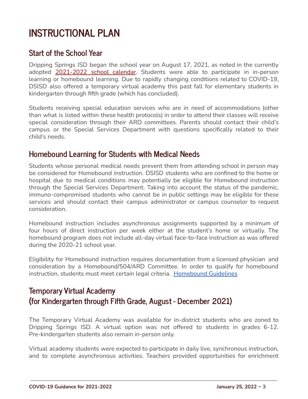# <span id="page-2-0"></span>**INSTRUCTIONAL PLAN**

### <span id="page-2-1"></span>**Start of the School Year**

Dripping Springs ISD began the school year on August 17, 2021, as noted in the currently adopted [2021-2022](https://www.dsisdtx.us/cms/lib/TX02204855/Centricity/Domain/131/Calendar.pdf) school calendar. Students were able to participate in in-person learning or homebound learning. Due to rapidly changing conditions related to COVID-19, DSISD also offered a temporary virtual academy this past fall for elementary students in kindergarten through fifth grade (which has concluded).

Students receiving special education services who are in need of accommodations (other than what is listed within these health protocols) in order to attend their classes will receive special consideration through their ARD committees. Parents should contact their child's campus or the Special Services Department with questions specifically related to their child's needs.

### <span id="page-2-2"></span>**Homebound Learning for Students with Medical Needs**

Students whose personal medical needs prevent them from attending school in person may be considered for Homebound instruction. DSISD students who are confined to the home or hospital due to medical conditions may potentially be eligible for Homebound instruction through the Special Services Department. Taking into account the status of the pandemic, immuno-compromised students who cannot be in public settings may be eligible for these services and should contact their campus administrator or campus counselor to request consideration.

Homebound instruction includes asynchronous assignments supported by a minimum of four hours of direct instruction per week either at the student's home or virtually. The homebound program does not include all-day virtual face-to-face instruction as was offered during the 2020-21 school year.

Eligibility for Homebound instruction requires documentation from a licensed physician and consideration by a Homebound/504/ARD Committee. In order to qualify for homebound instruction, students must meet certain legal criteria. [Homebound](https://www.dsisdtx.us/Page/520) Guidelines

# <span id="page-2-3"></span>**Temporary Virtual Academy (for Kindergarten through Fifth Grade, August - December 2021)**

The Temporary Virtual Academy was available for [in-district](https://www.friscoisd.org/departments/attendance-zones/home) students who are zoned to Dripping Springs ISD. A virtual option was not offered to students in grades 6-12. Pre-kindergarten students also remain in-person only.

Virtual academy students were expected to participate in daily live, synchronous instruction, and to complete asynchronous activities. Teachers provided opportunities for enrichment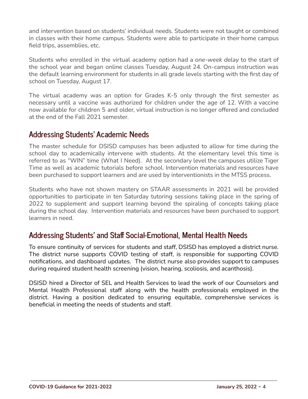and intervention based on students' individual needs. Students were not taught or combined in classes with their home campus. Students were able to participate in their home campus field trips, assemblies, etc.

Students who enrolled in the virtual academy option had a *one-week delay* to the start of the school year and began online classes Tuesday, August 24. On-campus instruction was the default learning environment for students in all grade levels starting with the first day of school on Tuesday, August 17.

The virtual academy was an option for Grades K-5 only through the first semester as necessary until a vaccine was authorized for children under the age of 12. With a vaccine now available for children 5 and older, virtual instruction is no longer offered and concluded at the end of the Fall 2021 semester.

### <span id="page-3-0"></span>**Addressing Students' Academic Needs**

The master schedule for DSISD campuses has been adjusted to allow for time during the school day to academically intervene with students. At the elementary level this time is referred to as "WIN" time (What I Need). At the secondary level the campuses utilize Tiger Time as well as academic tutorials before school. Intervention materials and resources have been purchased to support learners and are used by interventionists in the MTSS process.

Students who have not shown mastery on STAAR assessments in 2021 will be provided opportunities to participate in ten Saturday tutoring sessions taking place in the spring of 2022 to supplement and support learning beyond the spiraling of concepts taking place during the school day. Intervention materials and resources have been purchased to support learners in need.

# <span id="page-3-1"></span>**Addressing Students' and Staff Social-Emotional, Mental Health Needs**

To ensure continuity of services for students and staff, DSISD has employed a district nurse. The district nurse supports COVID testing of staff, is responsible for supporting COVID notifications, and dashboard updates. The district nurse also provides support to campuses during required student health screening (vision, hearing, scoliosis, and acanthosis).

DSISD hired a Director of SEL and Health Services to lead the work of our Counselors and Mental Health Professional staff along with the health professionals employed in the district. Having a position dedicated to ensuring equitable, comprehensive services is beneficial in meeting the needs of students and staff.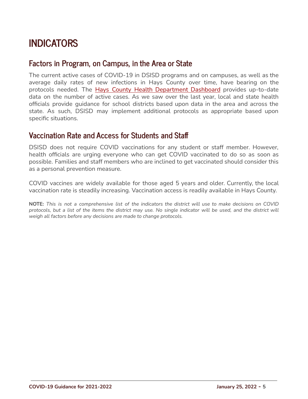# <span id="page-4-0"></span>**INDICATORS**

### <span id="page-4-1"></span>**Factors in Program, on Campus, in the Area or State**

The current active cases of COVID-19 in DSISD programs and on campuses, as well as the average daily rates of new infections in Hays County over time, have bearing on the protocols needed. The Hays County Health [Department](https://experience.arcgis.com/experience/9120e6293f4b4c499a45943d8efb8893) Dashboard provides up-to-date data on the number of active cases. As we saw over the last year, local and state health officials provide guidance for school districts based upon data in the area and across the state. As such, DSISD may implement additional protocols as appropriate based upon specific situations.

### <span id="page-4-2"></span>**Vaccination Rate and Access for Students and Staff**

DSISD does not require COVID vaccinations for any student or staff member. However, health officials are urging everyone who can get COVID vaccinated to do so as soon as possible. Families and staff members who are inclined to get vaccinated should consider this as a personal prevention measure.

COVID vaccines are widely available for those aged 5 years and older. Currently, the local vaccination rate is steadily increasing. Vaccination access is readily available in Hays County.

NOTE: This is not a comprehensive list of the indicators the district will use to make decisions on COVID protocols, but a list of the items the district may use. No single indicator will be used, and the district will *weigh all factors before any decisions are made to change protocols.*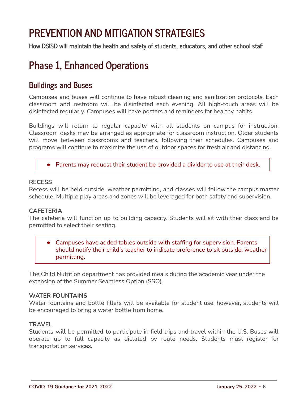# <span id="page-5-0"></span>**PREVENTION AND MITIGATION STRATEGIES**

**How DSISD will maintain the health and safety of students, educators, and other school staff**

# <span id="page-5-1"></span>**Phase 1, Enhanced Operations**

### <span id="page-5-2"></span>**Buildings and Buses**

Campuses and buses will continue to have robust cleaning and sanitization protocols. Each classroom and restroom will be disinfected each evening. All high-touch areas will be disinfected regularly. Campuses will have posters and reminders for healthy habits.

Buildings will return to regular capacity with all students on campus for instruction. Classroom desks may be arranged as appropriate for classroom instruction. Older students will move between classrooms and teachers, following their schedules. Campuses and programs will continue to maximize the use of outdoor spaces for fresh air and distancing.

#### ● Parents may request their student be provided a divider to use at their desk.

#### **RECESS**

Recess will be held outside, weather permitting, and classes will follow the campus master schedule. Multiple play areas and zones will be leveraged for both safety and supervision.

#### **CAFETERIA**

The cafeteria will function up to building capacity. Students will sit with their class and be permitted to select their seating.

● Campuses have added tables outside with staffing for supervision. Parents should notify their child's teacher to indicate preference to sit outside, weather permitting.

The Child Nutrition department has provided meals during the academic year under the extension of the Summer Seamless Option (SSO).

#### **WATER FOUNTAINS**

Water fountains and bottle fillers will be available for student use; however, students will be encouraged to bring a water bottle from home.

#### **TRAVEL**

Students will be permitted to participate in field trips and travel within the U.S. Buses will operate up to full capacity as dictated by route needs. Students must register for transportation services.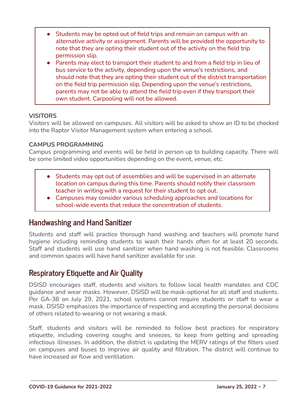- Students may be opted out of field trips and remain on campus with an alternative activity or assignment. Parents will be provided the opportunity to note that they are opting their student out of the activity on the field trip permission slip.
- Parents may elect to transport their student to and from a field trip in lieu of bus service to the activity, depending upon the venue's restrictions, and should note that they are opting their student out of the district transportation on the field trip permission slip. Depending upon the venue's restrictions, parents may not be able to attend the field trip even if they transport their own student. Carpooling will not be allowed.

#### **VISITORS**

Visitors will be allowed on campuses. All visitors will be asked to show an ID to be checked into the Raptor Visitor Management system when entering a school.

#### **CAMPUS PROGRAMMING**

Campus programming and events will be held in person up to building capacity. There will be some limited video opportunities depending on the event, venue, etc.

- Students may opt out of assemblies and will be supervised in an alternate location on campus during this time. Parents should notify their classroom teacher in writing with a request for their student to opt out.
- Campuses may consider various scheduling approaches and locations for school-wide events that reduce the concentration of students.

### <span id="page-6-0"></span>**Handwashing and Hand Sanitizer**

Students and staff will practice thorough hand washing and teachers will promote hand hygiene including reminding students to wash their hands often for at least 20 seconds. Staff and students will use hand sanitizer when hand washing is not feasible. Classrooms and common spaces will have hand sanitizer available for use.

# <span id="page-6-1"></span>**Respiratory Etiquette and Air Quality**

DSISD encourages staff, students and visitors to follow local health mandates and CDC guidance and wear masks. However, DSISD will be mask-optional for all staff and students. Per GA-38 on July 29, 2021, school systems cannot require students or staff to wear a mask. DSISD emphasizes the importance of respecting and accepting the personal decisions of others related to wearing or not wearing a mask.

Staff, students and visitors will be reminded to follow best practices for respiratory etiquette, including covering coughs and sneezes, to keep from getting and spreading infectious illnesses. In addition, the district is updating the MERV ratings of the filters used on campuses and buses to improve air quality and filtration. The district will continue to have increased air flow and ventilation.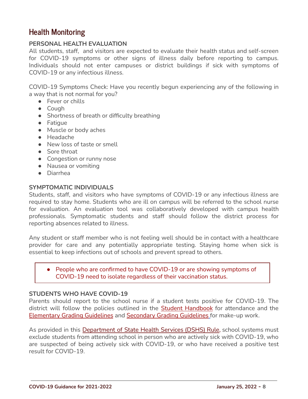# <span id="page-7-0"></span>**Health Monitoring**

#### **PERSONAL HEALTH EVALUATION**

All students, staff, and visitors are expected to evaluate their health status and self-screen for COVID-19 symptoms or other signs of illness daily before reporting to campus. Individuals should not enter campuses or district buildings if sick with symptoms of COVID-19 or any infectious illness.

COVID-19 Symptoms Check: Have you recently begun experiencing any of the following in a way that is not normal for you?

- Fever or chills
- Cough
- Shortness of breath or difficulty breathing
- Fatigue
- Muscle or body aches
- Headache
- New loss of taste or smell
- Sore throat
- Congestion or runny nose
- Nausea or vomiting
- Diarrhea

#### **SYMPTOMATIC INDIVIDUALS**

Students, staff, and visitors who have symptoms of COVID-19 or any infectious illness are required to stay home. Students who are ill on campus will be referred to the school nurse for evaluation. An evaluation tool was collaboratively developed with campus health professionals. Symptomatic students and staff should follow the district process for reporting absences related to illness.

Any student or staff member who is not feeling well should be in contact with a healthcare provider for care and any potentially appropriate testing. Staying home when sick is essential to keep infections out of schools and prevent spread to others.

● People who are confirmed to have COVID-19 or are showing symptoms of COVID-19 need to isolate regardless of their vaccination status.

#### **STUDENTS WHO HAVE COVID-19**

Parents should report to the school nurse if a student tests positive for COVID-19. The district will follow the policies outlined in the Student [Handbook](https://www.dsisdtx.us/domain/143) for attendance and the [Elementary](https://www.dsisdtx.us/Page/2909) Grading Guidelines and Secondary Grading [Guidelines](https://www.dsisdtx.us/Page/2908) for make-up work.

As provided in this [Department](https://dshs.texas.gov/covid19readmission/) of State Health Services (DSHS) Rule, school systems must exclude students from attending school in person who are actively sick with COVID-19, who are suspected of being actively sick with COVID-19, or who have received a positive test result for COVID-19.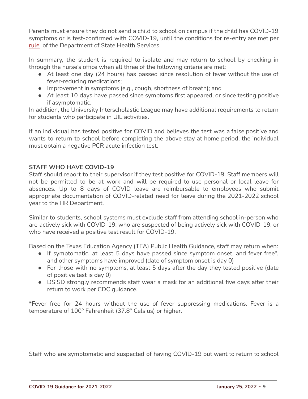Parents must ensure they do not send a child to school on campus if the child has COVID-19 symptoms or is test-confirmed with COVID-19, until the conditions for re-entry are met per [rule](https://dshs.texas.gov/covid19readmission/) of the Department of State Health Services.

In summary, the student is required to isolate and may return to school by checking in through the nurse's office when all three of the following criteria are met:

- At least one day (24 hours) has passed since resolution of fever without the use of fever-reducing medications;
- Improvement in symptoms (e.g., cough, shortness of breath); and
- At least 10 days have passed since symptoms first appeared, or since testing positive if asymptomatic.

In addition, the University Interscholastic League may have additional requirements to return for students who participate in UIL activities.

If an individual has tested positive for COVID and believes the test was a false positive and wants to return to school before completing the above stay at home period, the individual must obtain a negative PCR acute infection test.

#### **STAFF WHO HAVE COVID-19**

Staff should report to their supervisor if they test positive for COVID-19. Staff members will not be permitted to be at work and will be required to use personal or local leave for absences. Up to 8 days of COVID leave are reimbursable to employees who submit appropriate documentation of COVID-related need for leave during the 2021-2022 school year to the HR Department.

Similar to students, school systems must exclude staff from attending school in-person who are actively sick with COVID-19, who are suspected of being actively sick with COVID-19, or who have received a positive test result for COVID-19.

Based on the Texas Education Agency (TEA) Public Health Guidance, staff may return when:

- If symptomatic, at least 5 days have passed since symptom onset, and fever free\*, and other symptoms have improved (date of symptom onset is day 0)
- For those with no symptoms, at least 5 days after the day they tested positive (date of positive test is day 0)
- DSISD strongly recommends staff wear a mask for an additional five days after their return to work per CDC guidance.

\*Fever free for 24 hours without the use of fever suppressing medications. Fever is a temperature of 100° Fahrenheit (37.8° Celsius) or higher.

Staff who are symptomatic and suspected of having COVID-19 but want to return to school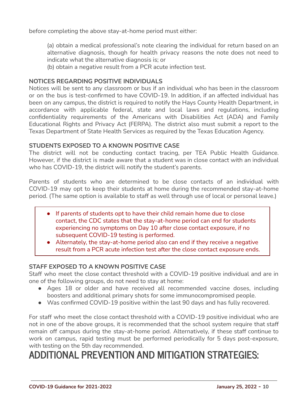before completing the above stay-at-home period must either:

(a) obtain a medical professional's note clearing the individual for return based on an alternative diagnosis, though for health privacy reasons the note does not need to indicate what the alternative diagnosis is; or

(b) obtain a negative result from a PCR acute infection test.

#### **NOTICES REGARDING POSITIVE INDIVIDUALS**

Notices will be sent to any classroom or bus if an individual who has been in the classroom or on the bus is test-confirmed to have COVID-19. In addition, if an affected individual has been on any campus, the district is required to notify the Hays County Health Department, in accordance with applicable federal, state and local laws and regulations, including confidentiality requirements of the Americans with Disabilities Act (ADA) and Family Educational Rights and Privacy Act (FERPA). The district also must submit a report to the Texas Department of State Health Services as required by the Texas Education Agency.

#### **STUDENTS EXPOSED TO A KNOWN POSITIVE CASE**

The district will not be conducting contact tracing, per TEA Public Health Guidance. However, if the district is made aware that a student was in close contact with an individual who has COVID-19, the district will notify the student's parents.

Parents of students who are determined to be close contacts of an individual with COVID-19 may opt to keep their students at home during the recommended stay-at-home period. (The same option is available to staff as well through use of local or personal leave.)

- If parents of students opt to have their child remain home due to close contact, the CDC states that the stay-at-home period can end for students experiencing no symptoms on Day 10 after close contact exposure, if no subsequent COVID-19 testing is performed.
- Alternately, the stay-at-home period also can end if they receive a negative result from a PCR acute infection test after the close contact exposure ends.

#### **STAFF EXPOSED TO A KNOWN POSITIVE CASE**

Staff who meet the close contact threshold with a COVID-19 positive individual and are in one of the following groups, do not need to stay at home:

- Ages 18 or older and have received all recommended vaccine doses, including boosters and additional primary shots for some immunocompromised people.
- Was confirmed COVID-19 positive within the last 90 days and has fully recovered.

For staff who meet the close contact threshold with a COVID-19 positive individual who are not in one of the above groups, it is recommended that the school system require that staff remain off campus during the stay-at-home period. Alternatively, if these staff continue to work on campus, rapid testing must be performed periodically for 5 days post-exposure, with testing on the 5th day recommended.

# **ADDITIONAL PREVENTION AND MITIGATION STRATEGIES:**